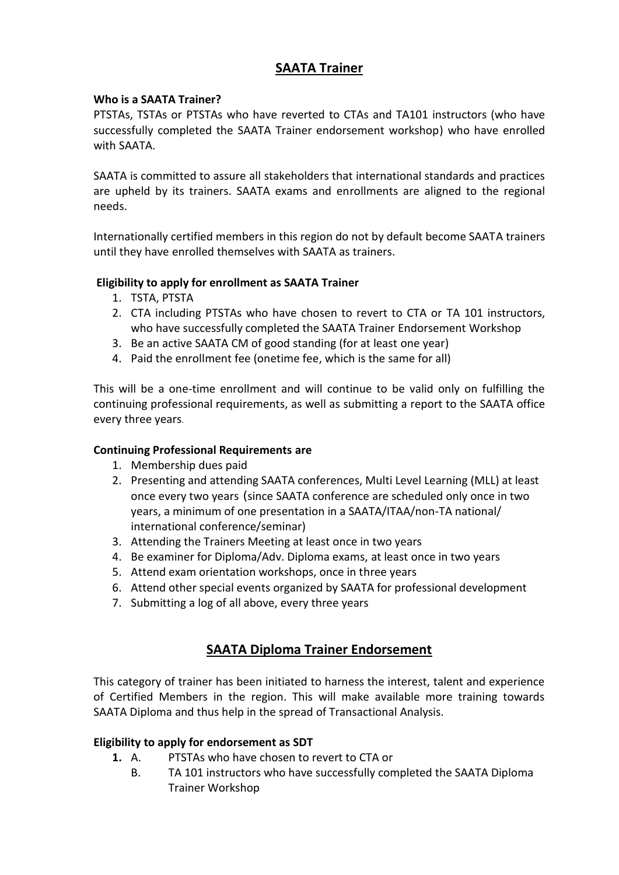# **SAATA Trainer**

#### **Who is a SAATA Trainer?**

PTSTAs, TSTAs or PTSTAs who have reverted to CTAs and TA101 instructors (who have successfully completed the SAATA Trainer endorsement workshop) who have enrolled with SAATA.

SAATA is committed to assure all stakeholders that international standards and practices are upheld by its trainers. SAATA exams and enrollments are aligned to the regional needs.

Internationally certified members in this region do not by default become SAATA trainers until they have enrolled themselves with SAATA as trainers.

## **Eligibility to apply for enrollment as SAATA Trainer**

- 1. TSTA, PTSTA
- 2. CTA including PTSTAs who have chosen to revert to CTA or TA 101 instructors, who have successfully completed the SAATA Trainer Endorsement Workshop
- 3. Be an active SAATA CM of good standing (for at least one year)
- 4. Paid the enrollment fee (onetime fee, which is the same for all)

This will be a one-time enrollment and will continue to be valid only on fulfilling the continuing professional requirements, as well as submitting a report to the SAATA office every three years.

## **Continuing Professional Requirements are**

- 1. Membership dues paid
- 2. Presenting and attending SAATA conferences, Multi Level Learning (MLL) at least once every two years (since SAATA conference are scheduled only once in two years, a minimum of one presentation in a SAATA/ITAA/non-TA national/ international conference/seminar)
- 3. Attending the Trainers Meeting at least once in two years
- 4. Be examiner for Diploma/Adv. Diploma exams, at least once in two years
- 5. Attend exam orientation workshops, once in three years
- 6. Attend other special events organized by SAATA for professional development
- 7. Submitting a log of all above, every three years

# **SAATA Diploma Trainer Endorsement**

This category of trainer has been initiated to harness the interest, talent and experience of Certified Members in the region. This will make available more training towards SAATA Diploma and thus help in the spread of Transactional Analysis.

## **Eligibility to apply for endorsement as SDT**

- **1.** A. PTSTAs who have chosen to revert to CTA or
	- B. TA 101 instructors who have successfully completed the SAATA Diploma Trainer Workshop